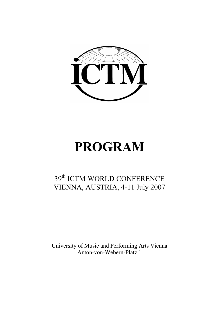

# **PROGRAM**

## 39<sup>th</sup> ICTM WORLD CONFERENCE VIENNA, AUSTRIA, 4-11 July 2007

University of Music and Performing Arts Vienna Anton-von-Webern-Platz 1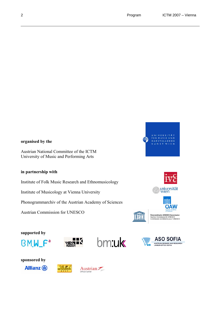

#### **organised by the**

Austrian National Committee of the ICTM University of Music and Performing Arts

#### **in partnership with**

Institute of Folk Music Research and Ethnomusicology

Institute of Musicology at Vienna University

Phonogrammarchiv of the Austrian Academy of Sciences

Austrian Commission for UNESCO







Österreichische UNESCO-Kommission<br>Austrian Commission for UNESCO<br>Commission Autrichienne pour l'UNESCO















Austrian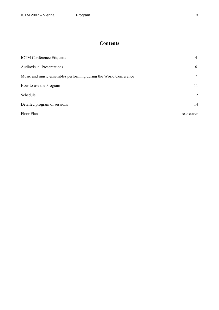## **Contents**

| <b>ICTM</b> Conference Etiquette                                 | 4           |
|------------------------------------------------------------------|-------------|
| <b>Audiovisual Presentations</b>                                 | 6           |
| Music and music ensembles performing during the World Conference | $7^{\circ}$ |
| How to use the Program                                           | 11          |
| Schedule                                                         | 12          |
| Detailed program of sessions                                     | 14          |
| Floor Plan                                                       | rear cover  |

 $\overline{\phantom{a}}$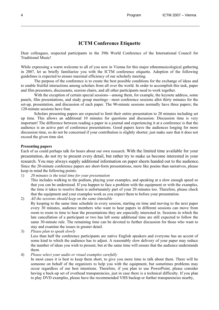### **ICTM Conference Etiquette**

Dear colleagues, respected participants in the 39th World Conference of the International Council for Traditional Music!

While expressing a warm welcome to all of you now in Vienna for this major ethnomusicological gathering in 2007, let us briefly familiarize you with the ICTM conference etiquette. Adoption of the following guidelines is expected to ensure maximal efficiency of our scholarly meeting.

The purpose of the conference is to create the best possible conditions for the exchange of ideas and to enable fruitful interactions among scholars from all over the world. In order to accomplish this task, paper and film presenters, discussants, session chairs, and all other participants need to work together.

With the exception of certain special sessions—among them, for example, the keynote address, some panels, film presentations, and study group meetings—most conference sessions allot thirty minutes for the set-up, presentation, and discussion of each paper. The 90-minute sessions normally have three papers; the 120-minute sessions have four.

Scholars presenting papers are expected to limit their entire presentation to 20 minutes including set up time. This allows an additional 10 minutes for questions and discussion. Discussion time is very important! The difference between reading a paper in a journal and experiencing it at a conference is that the audience is an active part of conference presentations. Good papers leave the audiences longing for more discussion time, so do not be concerned if your contribution is slightly shorter; just make sure that it does not exceed the given time slot.

#### **Presenting papers**

Each of us could perhaps talk for hours about our own research. With the limited time available for your presentation, do not try to present every detail, but rather try to make us become interested in your research. You may always supply additional information on paper sheets handed out to the audience. Since the 20-minute conference papers are short-form presentations, more like poems than narratives, please keep in mind the following points:

1) *20 minutes is the total time for your presentation*

 This includes walking to the podium, playing your examples, and speaking at a slow enough speed so that you can be understood. If you happen to face a problem with the equipment or with the examples, the time it takes to resolve them is unfortunately part of your 20 minutes too. Therefore, please check that the equipment and your examples work as you expect them to before your presentation.

2) *All the sessions should keep on the same timetable* By keeping to the same time schedule in every session, starting on time and moving to the next paper every 30 minutes, audience members who want to hear papers in different sessions can move from room to room in time to hear the presentations they are especially interested in. Sessions in which the late cancellation of a participant or two has left some additional time are still expected to follow the same 30-minute rule. The remaining time can be devoted to further discussion for those who want to stay and examine the issues in greater detail.

3) *Please plan to speak slowly* 

 Less than half the conference participants are native English speakers and everyone has an accent of some kind to which the audience has to adjust. A reasonably slow delivery of your paper may reduce the number of ideas you wish to present, but at the same time will ensure that the audience understands them.

#### 4) *Please select your audio or visual examples carefully*

 In most cases it is best to keep them short, to give you more time to talk about them. There will be someone on behalf of the organizers to help you with the equipment, but sometimes problems may occur regardless of our best intentions. Therefore, if you plan to use PowerPoint, please consider having a back-up set of overhead transparencies, just in case there is a technical difficulty. If you plan to play DVD examples, please have the recommended VHS backup or further transparencies nearby,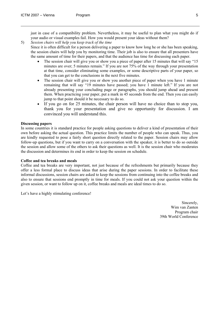just in case of a compatibility problem. Nevertheless, it may be useful to plan what you might do if your audio or visual examples fail. How you would present your ideas without them?

#### 5) *Session chairs will help you keep track of the time*

 Since it is often difficult for a person delivering a paper to know how long he or she has been speaking, the session chairs will help you by monitoring time. Their job is also to ensure that all presenters have the same amount of time for their papers, and that the audience has time for discussing each paper.

- The session chair will give you or show you a piece of paper after 15 minutes that will say "15 minutes are over; 5 minutes remain." If you are not 75% of the way through your presentation at that time, consider eliminating some examples, or some descriptive parts of your paper, so that you can get to the conclusions in the next five minutes.
- The session chair will give you or show you another piece of paper when you have 1 minute remaining that will say "19 minutes have passed; you have 1 minute left." If you are not already presenting your concluding page or paragraphs, you should jump ahead and present them. When practicing your paper, put a mark in 45 seconds from the end. Then you can easily jump to that point should it be necessary to do so.
- If you go on for 25 minutes, the chair person will have no choice than to stop you, thank you for your presentation and give no opportunity for discussion. I am convinced you will understand this.

#### **Discussing papers**

In some countries it is standard practice for people asking questions to deliver a kind of presentation of their own before asking the actual question. This practice limits the number of people who can speak. Thus, you are kindly requested to pose a fairly short question directly related to the paper. Session chairs may allow follow-up questions, but if you want to carry on a conversation with the speaker, it is better to do so outside the session and allow some of the others to ask their questions as well. It is the session chair who moderates the discussion and determines its end in order to keep the session on schedule.

#### **Coffee and tea breaks and meals**

Coffee and tea breaks are very important, not just because of the refreshments but primarily because they offer a less formal place to discuss ideas that arise during the paper sessions. In order to facilitate these informal discussions, session chairs are asked to keep the sessions from continuing into the coffee breaks and also to ensure that sessions end promptly in time for meals. If you could not ask your question within the given session, or want to follow up on it, coffee breaks and meals are ideal times to do so.

Let's have a highly stimulating conference!

Sincerely, Wim van Zanten Program chair 39th World Conference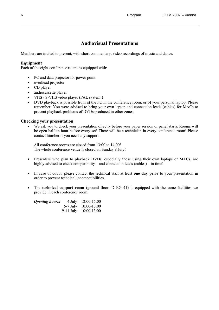### **Audiovisual Presentations**

Members are invited to present, with short commentary, video recordings of music and dance.

#### **Equipment**

Each of the eight conference rooms is equipped with:

- PC and data projector for power point
- overhead projector
- CD player
- audiocassette player
- VHS / S-VHS video player (PAL system!)
- DVD playback is possible from **a)** the PC in the conference room, or **b)** your personal laptop. Please remember: You were advised to bring your own laptop and connection leads (cables) for MACs to prevent playback problems of DVDs produced in other zones.

#### **Checking your presentation**

• We ask you to check your presentation directly before your paper session or panel starts. Rooms will be open half an hour before every set! There will be a technician in every conference room! Please contact him/her if you need any support.

All conference rooms are closed from 13:00 to 14:00! The whole conference venue is closed on Sunday 8 July!

- Presenters who plan to playback DVDs, especially those using their own laptops or MACs, are highly advised to check compatibility – and connection leads (cables) – in time!
- In case of doubt, please contact the technical staff at least **one day prior** to your presentation in order to prevent technical incompatibilities.
- The **technical support room** (ground floor: D EG 41) is equipped with the same facilities we provide in each conference room.

| <i><b>Opening hours:</b></i> | 4 July $12:00-15:00$      |
|------------------------------|---------------------------|
|                              | $5-7$ July $10:00-13:00$  |
|                              | $9-11$ July $10:00-13:00$ |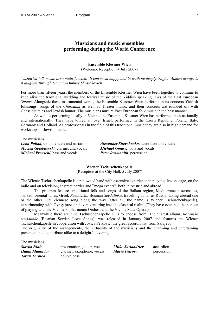#### **Musicians and music ensembles performing during the World Conference**

#### **Ensemble Klesmer Wien**  (Welcome Reception, 4 July 2007)

"*…Jewish folk music is so multi-faceted. It can seem happy and in truth be deeply tragic. Almost always is it laughter through tears." –Dimitry Shostakovich* 

For more than fifteen years, the members of the Ensemble Klesmer Wien have been together to continue to keep alive the traditional wedding and festival music of the Yiddish speaking Jews of the East European *Shtetls*. Alongside these instrumental works, the Ensemble Klesmer Wien performs in its concerts Yiddish folksongs, songs of the *Chassidim* as well as Theater music, and their concerts are rounded off with Chassidic tales and Jewish humor. The musicians nurture East European folk music in the best manner.

As well as performing locally in Vienna, the Ensemble Klesmer Wien has performed both nationally and internationally. They have toured all over Israel, performed in the Czech Republic, Poland, Italy, Germany and Holland. As professionals in the field of this traditional music they are also in high demand for workshops in Jewish music.

The musicians:

*Leon Pollak*, violin, vocals and narration *Alexander Shevchenko,* accordion and vocals *Maciek Golebiowski,* clarinet and vocals *Michael Gmasz,* viola and vocals *Michael Preuschl,* bass and vocals *Peter Rosmanith*, percussion

#### **Wiener Tschuschenkapelle**

(Reception at the City Hall, 5 July 2007)

The Wiener Tschuschenkapelle is a renowned band with extensive experience in playing live on stage, on the radio and on television, at street parties and "mega events", both in Austria and abroad.

The program features traditional folk and songs of the Balkan region, Mediterranean serenades, Turkish-oriental tunes, Greek *Rembetiko*, Bosnian *Sevdalinka*, travelling as far as Russia, taking abroad one or the other Old Viennese song along the way (after all, the name is Wiener Tschuschenkapelle), experimenting with Gypsy jazz, and even venturing into the classical realm. (They have even had the honour of playing with the Vienna Philharmonic Orchestra at the Vienna State Opera.)

Meanwhile there are nine Tschuschenkapelle CDs to choose from. Their latest album, *Bosanske sevdalinke* (Bosnian Sevdah Love Songs), was released in January 2007 and features the Wiener Tschuschenkapelle in cooperation with Jovica Petković, the great accordionist from Sarajevo.

The originality of the arrangements, the virtuosity of the musicians and the charming and entertaining presentation all contribute alike to a delightful evening.

| The musicians:       |                              |                   |            |
|----------------------|------------------------------|-------------------|------------|
| Slavko Ninić         | presentation, guitar, vocals | Mitke Sarlandziev | accordion  |
| Hidan Mamudov        | clarinet, saxophone, vocals  | Maria Petrova     | percussion |
| <b>Jovan Torbica</b> | double bass                  |                   |            |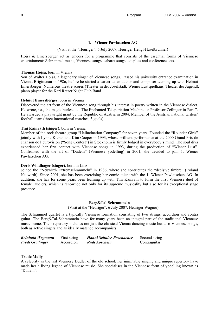#### **1. Wiener Pawlatschen AG**

#### (Visit at the "Heuriger", 6 July 2007, Heuriger Hengl-Haselbrunner)

Hojsa & Emersberger act as emcees for a programme that consists of the essential forms of Viennese entertainment: Schrammel music, Viennese songs, cabaret songs, couplets and conference acts.

#### **Thomas Hojsa**, born in Vienna

Son of Walter Hojsa, a legendary singer of Viennese songs. Passed his university entrance examination in Vienna-Brigittenau in 1986, before he started a career as an author and composer teaming up with Helmut Emersberger. Numerous theatre scores (Theater in der Josefstadt, Wiener Lustspielhaus, Theater der Jugend), piano player for the Karl Ratzer Night Club Band.

#### **Helmut Emersberger**, born in Vienna

Discovered the art form of the Viennese song through his interest in poetry written in the Viennese dialect. He wrote, i.a., the magic burlesque "The Enchanted Teleportation Machine or Professor Zeilinger in Paris". He awarded a playwright grant by the Republic of Austria in 2004. Member of the Austrian national writers' football team (three international matches, 3 goals).

#### **Tini Kainrath (singer)**, born in Vienna

Member of the rock theatre group "Hallucination Company" for seven years. Founded the "Rounder Girls" jointly with Lynne Kieran and Kim Cooper in 1993, whose brilliant performance at the 2000 Grand Prix de chanson de l'eurovision ("Song Contest") in Stockholm is firmly lodged in everybody's mind. The soul diva experienced her first contact with Viennese songs in 1993, during the production of "Wiener Lust". Confronted with the art of "Dudeln" (Viennese yodelling) in 2001, she decided to join 1. Wiener Pawlatschen AG.

#### **Doris Windhager (singer)**, born in Linz

Joined the "Neuwirth Extremschrammeln" in 1986, where she contributes the "decisive timbre" (Roland Neuwirth). Since 2001, she has been exercising her comic talent with the 1. Wiener Pawlatschen AG. In addition, she has for some years been teaming up with Tini Kainrath to form the first Viennese duet of female Dudlers, which is renowned not only for its supreme musicality but also for its exceptional stage presence.

#### **Berg&Tal-Schrammeln**

(Visit at the "Heuriger", 6 July 2007, Heuriger Wagner)

The Schrammel quartet is a typically Viennese formation consisting of two strings, accordion and contra guitar. The Berg&Tal-Schrammeln have for many years been an integral part of the traditional Viennese music scene. Their repertory includes not just the classical Vienna dancing music but also Viennese songs, both as active singers and as ideally matched accompanists.

| Reinhold Wegmann       | First string | Hanni Schuler-Poschacher | Second string |
|------------------------|--------------|--------------------------|---------------|
| <b>Fredi Gradinger</b> | Accordion    | Rudi Koschelu            | Contraguitar  |

#### **Trude Mally**

A celebrity as the last Viennese Dudler of the old school, her inimitable singing and unique repertory have made her a living legend of Viennese music. She specialises in the Viennese form of yodelling known as "Dudeln".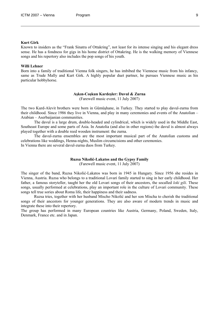Known to insiders as the "Frank Sinatra of Ottakring", not least for its intense singing and his elegant dress sense. He has a fondness for gigs in his home district of Ottakring. He is the walking memory of Viennese songs and his repertory also includes the pop songs of his youth.

#### **Willi Lehner**

Born into a family of traditional Vienna folk singers, he has imbibed the Viennese music from his infancy, same as Trude Mally and Kurt Girk. A highly popular duet partner, he pursues Viennese music as his particular hobbyhorse.

#### **Aşkın-Coşkun Kardeşler: Davul & Zurna**

(Farewell music event, 11 July 2007)

The two Kurd-Alevit brothers were born in Gümüşhane, in Turkey. They started to play davul-zurna from their childhood. Since 1986 they live in Vienna, and play in many ceremonies and events of the Anatolian – Arabian – Aserbaijanian communities.

The davul is a large drum, double-headed and cylindrical, which is widely used in the Middle East, Southeast Europe and some parts of Asia. In Anatolia (and also in other regions) the davul is almost always played together with a double reed wooden instrument: the zurna.

The davul-zurna ensembles are the most important musical part of the Anatolian customs and celebrations like weddings, Henna-nights, Muslim circumcisions and other ceremonies. In Vienna there are several davul-zurna duos from Turkey.

#### **Ruzsa Nikolić-Lakatos and the Gypsy Family**

(Farewell music event, 11 July 2007)

The singer of the band, Ruzsa Nikolić-Lakatos was born in 1945 in Hungary. Since 1956 she resides in Vienna, Austria. Ruzsa who belongs to a traditional Lovari family started to sing in her early childhood. Her father, a famous storyteller, taught her the old Lovari songs of their ancestors, the socalled *loki gili*. These songs, usually performed at celebrations, play an important role in the culture of Lovari community. These songs tell true sories about Roma life, their happiness and their sadness.

Ruzsa tries, together with her husband Mischo Nikolić and her son Mischa to cherish the traditional songs of their ancestors for younger generations. They are also aware of modern trends in music and integrate these into their repertory.

The group has performed in many European countries like Austria, Germany, Poland, Sweden, Italy, Denmark, France etc. and in Japan.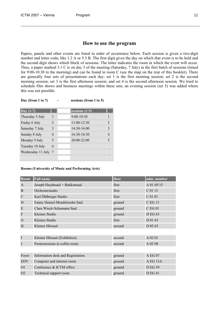#### **How to use the program**

Papers, panels and other events are listed in order of occurrence below. Each session is given a two-digit number and letter code, like 1.2 A or 5.3 B. The first digit gives the day on which that event is to be held and the second digit shows which block of sessions. The letter indicates the room in which the event will occur. Thus, a paper marked 3.1 C is on day 3 of the meeting (Saturday, 7 July) in the first batch of sessions (timed for 9:00-10:30 in the morning) and can be found in room C (see the map on the rear of this booklet). There are generally four sets of presentations each day: set 1 is the first morning session; set 2 is the second morning session; set 3 is the first afternoon session; and set 4 is the second afternoon session. We tried to schedule film shows and business meetings within these sets; an evening session (set 5) was added where this was not possible.

| Day (from 1 to 7) |  | sessions (from 1 to 5) |
|-------------------|--|------------------------|
|-------------------|--|------------------------|

| $\Delta$ Day (1-7)  |                          | sessions $(1-5)$ |                |
|---------------------|--------------------------|------------------|----------------|
| Thursday 5 July     | 1                        | 9:00-10:30       |                |
| Friday 6 July       | $\mathfrak{D}$           | 11:00-12:30      | $\mathfrak{D}$ |
| Saturday 7 July     | 3                        | $14:30-16:00$    | 3              |
| Sunday 8 July       | 4                        | $16:30-18:30$    | 4              |
| Monday 9 July       | $\overline{\mathcal{L}}$ | 20:00-22:00      | 5              |
| Tuesday 10 July     | 6                        |                  |                |
| Wednesday 11 July 7 |                          |                  |                |
|                     |                          |                  |                |

#### **Rooms (University of Music and Performing Arts)**

| Room           | <b>Full name</b>                  | floor  | adm. number    |
|----------------|-----------------------------------|--------|----------------|
| $\mathbf{A}$   | Joseph Haydnsaal + Batikensaal    | first  | A 01 05/15     |
| B              | Orchesterstudio                   | first  | C 01 13        |
| $\mathcal{C}$  | Karl Öhlberger Studio             | first  | C 01 01        |
| D              | Fanny Hensel-Mendelssohn Saal     | ground | C EG 13        |
| E              | Clara Wieck-Schumann Saal         | ground | <b>CEG01</b>   |
| $\Gamma$       | Kleines Studio                    | ground | D EG 63        |
| G              | Kleines Studio                    | first  | D 01 63        |
| H              | Kleiner Hörsaal                   | second | D 02 63        |
|                |                                   |        |                |
| I              | Kleiner Hörsaal (Exhibition)      | second | A 02 01        |
| J              | Postersessions in coffee room     | second | A 02 08        |
|                |                                   |        |                |
| Foyer          | Information desk and Registration | ground | A EG 07        |
| <b>EDV</b>     | Computer and internet room        | ground | A EG 13A       |
| O <sub>1</sub> | Conference & ICTM office          | ground | <b>D EG 39</b> |
| O <sub>2</sub> | Technical support room            | ground | <b>D EG 41</b> |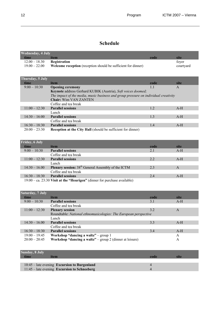## **Schedule**

| <b>Wednesday, 4 July</b> |                                                                                     |      |              |
|--------------------------|-------------------------------------------------------------------------------------|------|--------------|
| time                     | item                                                                                | code | site         |
| $12.00 - 18.30$          | Registration                                                                        |      | foyer        |
| $19.00 - 22.00$          | Welcome reception (reception should be sufficient for dinner)                       |      | courtyard    |
|                          |                                                                                     |      |              |
| Thursday, 5 July         |                                                                                     |      |              |
| time                     | item                                                                                | code | site         |
| $9:00-10:30$             | <b>Opening ceremony</b>                                                             | 1.1  | $\mathsf{A}$ |
|                          | Keynote address Gerhard KUBIK (Austria), Soft voices doomed;                        |      |              |
|                          | The impact of the media, music business and group pressure on individual creativity |      |              |
|                          | <b>Chair: Wim VAN ZANTEN</b>                                                        |      |              |
|                          | Coffee and tea break                                                                |      |              |
| $11:00 - 12:30$          | <b>Parallel sessions</b>                                                            | 1.2  | $A-H$        |
|                          | Lunch                                                                               |      |              |
| $14:30 - 16:00$          | <b>Parallel sessions</b>                                                            | 1.3  | $A-H$        |
|                          | Coffee and tea break                                                                |      |              |
| $16:30 - 18:30$          | <b>Parallel sessions</b>                                                            | 1.4  | $A-H$        |
| $20:00 - 23:30$          | <b>Reception at the City Hall</b> (should be sufficient for dinner)                 |      |              |

| <b>Friday, 6 July</b> |                                                                             |      |       |
|-----------------------|-----------------------------------------------------------------------------|------|-------|
| time                  | item                                                                        | code | site  |
| $9:00 - 10:30$        | <b>Parallel sessions</b>                                                    | 2.1  | $A-H$ |
|                       | Coffee and tea break                                                        |      |       |
| $11:00 - 12:30$       | <b>Parallel sessions</b>                                                    | 2.2  | $A-H$ |
|                       | Lunch                                                                       |      |       |
| $14:30 - 16.00$       | <b>Plenary session:</b> 38 <sup>th</sup> General Assembly of the ICTM       | 2.3  | A     |
|                       | Coffee and tea break                                                        |      |       |
| $16:30 - 18:30$       | <b>Parallel sessions</b>                                                    | 2.4  | $A-H$ |
|                       | $19:00 - ca. 23:30$ Visit at the "Heurigen" (dinner for purchase available) |      |       |

| Saturday, $7$ July |                                                                  |      |       |
|--------------------|------------------------------------------------------------------|------|-------|
| time               | item                                                             | code | site  |
| $9:00 - 10:30$     | <b>Parallel sessions</b>                                         | 3.1  | $A-H$ |
|                    | Coffee and tea break                                             |      |       |
| $11:00 - 12:30$    | <b>Plenary session</b>                                           | 3.2  | A     |
|                    | Roundtable: National ethnomusicologies: The European perspective |      |       |
|                    | Lunch                                                            |      |       |
| $14:30 - 16.00$    | <b>Parallel sessions</b>                                         | 3.3  | $A-H$ |
|                    | Coffee and tea break                                             |      |       |
| $16:30 - 18:30$    | <b>Parallel sessions</b>                                         | 3.4  | $A-H$ |
| $19:00 - 19:45$    | Workshop "dancing a waltz" – group $1$                           |      | A     |
| $20:00 - 20:45$    | Workshop "dancing a waltz" – group 2 (dinner at leisure)         |      | A     |

| Sunday, 8 July |                                                |      |      |
|----------------|------------------------------------------------|------|------|
| time           | item                                           | code | sıte |
|                |                                                |      |      |
|                | $10:45$ – late evening Excursion to Burgenland |      |      |
|                | 11:45 – late evening Excursion to Schneeberg   |      |      |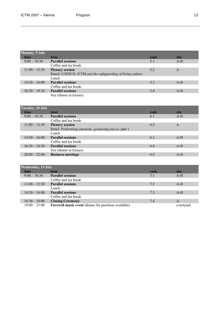| <b>Monday</b> , 9 July |                                                            |      |       |
|------------------------|------------------------------------------------------------|------|-------|
| time                   | item                                                       | code | site  |
| $9:00-10:30$           | <b>Parallel sessions</b>                                   | 5.1  | $A-H$ |
|                        | Coffee and tea break                                       |      |       |
| $11:00 - 12:30$        | <b>Plenary session</b>                                     | 5.2  | A     |
|                        | Panel: UNESCO, ICTM and the safeguarding of living culture |      |       |
|                        | Lunch                                                      |      |       |
| $14:30 - 16:00$        | <b>Parallel sessions</b>                                   | 5.3  | $A-H$ |
|                        | Coffee and tea break                                       |      |       |
| $16:30 - 18:30$        | <b>Parallel sessions</b>                                   | 5.4  | $A-H$ |
|                        | free (dinner at leisure)                                   |      |       |

| Tuesday, 10 July |                                                      |      |       |
|------------------|------------------------------------------------------|------|-------|
| time             | item                                                 | code | site  |
| $9:00-10:30$     | <b>Parallel sessions</b>                             | 6.1  | $A-H$ |
|                  | Coffee and tea break                                 |      |       |
| $11:00 - 12:30$  | <b>Plenary session</b>                               | 6.2  | A     |
|                  | Panel: Performing emotions, gendering places, part 1 |      |       |
|                  | Lunch                                                |      |       |
| $14:30 - 16:00$  | <b>Parallel sessions</b>                             | 6.3  | $A-H$ |
|                  | Coffee and tea break                                 |      |       |
| $16:30 - 18:30$  | <b>Parallel sessions</b>                             | 6.4  | $A-H$ |
|                  | free (dinner at leisure)                             |      |       |
| $20:00 - 22:00$  | <b>Business meetings</b>                             | 6.5  | $A-H$ |

| <b>Wednesday, 11 July</b> |                                                             |      |           |  |
|---------------------------|-------------------------------------------------------------|------|-----------|--|
| time                      | item                                                        | code | site      |  |
| $9:00 - 10:30$            | <b>Parallel sessions</b>                                    | 7.1  | $A-H$     |  |
|                           | Coffee and tea break                                        |      |           |  |
| $11:00 - 12:30$           | <b>Parallel sessions</b>                                    | 7.2  | $A-H$     |  |
|                           | Lunch                                                       |      |           |  |
| $14:30 - 16:00$           | <b>Parallel sessions</b>                                    | 7.3  | $A-H$     |  |
|                           | Coffee and tea break                                        |      |           |  |
| $16:30 - 18:00$           | <b>Closing Ceremony</b>                                     | 7.4  | A         |  |
| $19:00 - 23:00$           | <b>Farewell music event</b> (dinner for purchase available) |      | courtyard |  |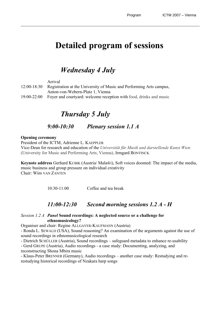## **Detailed program of sessions**

## *Wednesday 4 July*

 Arrival 12:00-18:30 Registration at the University of Music and Performing Arts campus, Anton-von-Webern-Platz 1, Vienna 19:00-22:00 Foyer and courtyard: welcome reception with food, drinks and music

## *Thursday 5 July*

## *9:00-10:30 Plenary session 1.1 A*

#### **Opening ceremony**

President of the ICTM, Adrienne L. KAEPPLER Vice-Dean for research and education of the *Universität für Musik und darstellende Kunst Wien* (University for Music and Performing Arts, Vienna), Irmgard BONTINCK

**Keynote address** Gerhard KUBIK (Austria/ Malaŵi), Soft voices doomed: The impact of the media, music business and group pressure on individual creativity Chair: Wim VAN ZANTEN

10:30-11:00 Coffee and tea break

## *11:00-12:30 Second morning sessions 1.2 A - H*

#### *Session 1.2 A Panel* **Sound recordings: A neglected source or a challenge for ethnomusicology?**

Organiser and chair: Regine ALLGAYER-KAUFMANN (Austria)

- Ronda L. SEWALD (USA), Sound reasoning? An examination of the arguments against the use of sound recordings in ethnomusicological research

- Dietrich SCHÜLLER (Austria), Sound recordings – safeguard metadata to enhance re-usability - Gerd GRUPE (Austria), Audio recordings - a case study: Documenting, analyzing, and reconstructing Shona Mbira music

- Klaus-Peter BRENNER (Germany), Audio recordings – another case study: Restudying and rerestudying historical recordings of Nzakara harp songs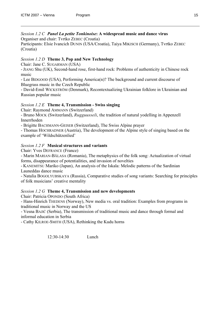*Session 1.2 C Panel La petite Tonkinoise***: A widespread music and dance virus**  Organiser and chair: Tvrtko ZEBEC (Croatia)

Participants: Elsie Ivancich DUNIN (USA/Croatia), Taiya MIKISCH (Germany), Tvrtko ZEBEC (Croatia)

#### *Session 1.2 D* **Theme 3, Pop and New Technology**

Chair: Jane C. SUGARMAN (USA)

- JIANG Shu (UK), Second-hand rose, first-hand rock: Problems of authenticity in Chinese rock music

- Lee BIDGOOD (USA), Performing America(n)? The background and current discourse of Bluegrass music in the Czech Republic

- David-Emil WICKSTRÖM (Denmark), Recontextualizing Ukrainian folklore in Ukrainian and Russian popular music

#### *Session 1.2 E* **Theme 4, Transmission - Swiss singing**

Chair: Raymond AMMANN (Switzerland)

- Bruno MOCK (Switzerland), *Rugguusseli*, the tradition of natural yodelling in Appenzell Innerrhoden

- Brigitte BACHMANN-GEISER (Switzerland), The Swiss Alpine prayer

- Thomas HOCHRADNER (Austria), The development of the Alpine style of singing based on the example of 'Wildschützenlied'

#### *Session 1.2 F* **Musical structures and variants**

Chair: Yves DEFRANCE (France)

- Marin MARIAN-BÃLASA (Romania), The metaphysics of the folk song: Actualization of virtual forms, disappearance of potentialities, and invasion of novelties

- KANEMITSU Mariko (Japan), An analysis of the Iskala: Melodic patterns of the Sardinian Launeddas dance music

- Natalia BOGOLYUBSKAYA (Russia), Сomparative studies of song variants: Searching for principles of folk musicians' creative mentality

#### *Session 1.2 G* **Theme 4, Transmission and new developments**

Chair: Patricia OPONDO (South Africa)

- Hans-Hinrich THEDENS (Norway), New media vs. oral tradition: Examples from programs in traditional music in Norway and the US

- Vesna BAJIĆ (Serbia), The transmission of traditional music and dance through formal and informal education in Serbia

- Cathy KILROE-SMITH (USA), Rethinking the Kudu horns

12:30-14:30 Lunch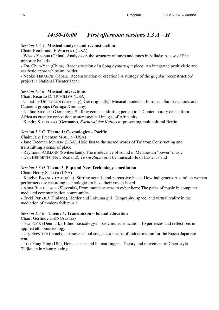## *14:30-16:00 First afternoon sessions 1.3 A – H*

#### *Session 1.3 A* **Musical analysis and reconstruction**

Chair: Rembrandt F WOLPERT (USA)

- WANG Yaohua (China), Analysis on the structure of tunes and tones in ballads: A case of She minority ballads

- TSE Chun-Yan (China), Reconstruction of a Song dynasty *qin* piece: An integrated positivistic and aesthetic approach by an insider

- Naoko TERAUCHI (Japan), Reconstruction or creation? A strategy of the *gagaku* 'reconstruction' project in National Theater Japan

#### *Session 1.3 B* **Musical interactions**

Chair: Ricardo D. TRIMILLOS (USA)

- Christine DETTMANN (Germany), Get original(s)! Musical models in European Samba schools and Capoeira groups (Portugal/Germany)

- Nadine SIEGERT (Germany), Shifting centers - shifting perception? Contemporary dance from Africa as creative opposition to stereotypical images of Africanity

- Kendra STEPPUTAT (Germany), *Karneval der Kulturen:* presenting multicultural Berlin

#### *Session 1.3 C* **Theme 1: Cosmologies – Pacific**

Chair: Jane Freeman MOULIN (USA)

- Jane Freeman MOULIN (USA), Hold fast to the sacred words of Ta'aroa: Constructing and transmitting a sense of place

- Raymond AMMANN (Switzerland), The irrelevance of sound in Melanesian 'power' music

- Dan BENDRUPS (New Zealand), *Te riu Rapanui*: The musical life of Easter Island

#### *Session 1.3 D* **Theme 3, Pop and New Technology - mediation**

Chair: Henry SPILLER (USA)

- Katelyn BARNEY (Australia), Stirring sounds and percussive beats: How indigenous Australian women performers use recording technologies to have their voices heard

- Alma BEJTULLAHU (Slovenia), From mundane zero to cyber hero: The paths of music in computer mediated communication communities

- Erkki PEKKILÄ (Finland), Herder and Loituma girl: Geography, space, and virtual reality in the mediation of modern folk music

#### *Session 1.3 E* **Theme 4, Transmisson – formal education**

Chair: Gerlinde HAID (Austria)

- Eva FOCK (Denmark), Ethnomusicology in basic music education: Experiences and reflections in applied ethnomusicology

- Ury EPPSTEIN (Israel), Japanese school songs as a means of indoctrination for the Russo-Japanese war

- LOO Fung Ying (UK), Horse stance and human fingers: Theory and movement of Chen-style Taijiquan in piano playing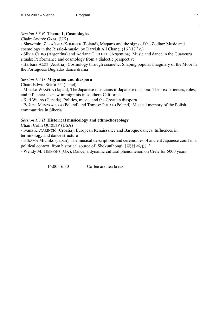#### *Session 1.3 F* **Theme 1, Cosmologies**

Chair: Andrée GRAU (UK)

- Sławomira ŻERAŃSKA-KOMINEK (Poland), Maqams and the signs of the Zodiac: Music and cosmology in the Risale-i-musiqi by Darvish Ali Changi  $(16^{th}/17^{th} \text{ c.})$ 

- Silvia CITRO (Argentina) and Adriana CERLETTI (Argentina), Music and dance in the Guaycurú rituals: Performance and cosmology from a dialectic perspective

- Barbara ALGE (Austria), Cosmology through cosmetic: Shaping popular imaginary of the Moor in the Portuguese Bugiadas dance drama

#### *Session 1.3 G* **Migration and diaspora**

Chair: Edwin SEROUSSI (Israel)

- Minako WASEDA (Japan), The Japanese musicians in Japanese diaspora: Their experiences, roles, and influences as new immigrants in southern California

- Kati WIENS (Canada), Politics, music, and the Croatian diaspora

- Bożena MUSZKALSKA (Poland) and Tomasz POLAK (Poland), Musical memory of the Polish communities in Siberia

#### *Session 1.3 H* **Historical musicology and ethnochoreology**

Chair: Colin QUIGLEY (USA)

- Ivana KATARINČIĆ (Croatia), European Renaissance and Baroque dances: Influences in terminology and dance structure

- HIRAMA Michiko (Japan), The musical descriptions and ceremonies of ancient Japanese court in a political context, from historical source of 'Shokunihongi『続日本紀』'

- Wendy M. TIMMONS (UK), Dance, a dynamic cultural phenomenon on Crete for 5000 years

16:00-16:30 Coffee and tea break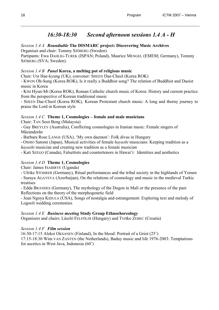## *16:30-18:30 Second afternoon sessions 1.4 A - H*

## *Session 1.4 A Roundtable* **The DISMARC project: Discovering Music Archives**

Organiser and chair: Tommy SJÖBERG (Sweden)

Partipants: Ewa DAHLIG-TUREK (ISPAN; Poland), Maurice MENGEL (EMEM; Germany), Tommy SJÖBERG (SVA; Sweden).

## *Session 1.4 B Panel* **Korea, a melting pot of religious music**

Chair: UM Hae-kyung (UK); convener: SHEEN Dae-Cheol (Korea ROK)

- KWON Oh-Sung (Korea ROK), Is it really a Buddhist song? The relation of Buddhist and Daoist music in Korea

- KIM Hyun-Mi (Korea ROK), Roman Catholic church music of Korea: History and current practice from the perspective of Korean traditional music

- SHEEN Dae-Cheol (Korea ROK), Korean Protestant church music: A long and thorny journey to praise the Lord in Korean style

## *Session 1.4 C* **Theme 1, Cosmologies – female and male musicians**

Chair: TAN Sooi Beng (Malaysia)

- Gay BREYLEY (Australia), Conflicting cosmologies in Iranian music: Female singers of Mâzanderân

- Barbara Rose LANGE (USA), 'My own daemon': Folk divas in Hungary

- OSHIO Satomi (Japan), Musical activities of female *hayashi* musicians: Keeping tradition as a

*hayashi* musician and creating new tradition as a female musician

- Kati SZEGO (Canada), Falsettists and countertenors in Hawai'i: Identities and aesthetics

## *Session 1.4 D* **Theme 1, Cosmologies**

Chair: James ISABIRYE (Uganda)

- Ulrike STOHRER (Germany), Ritual performances and the tribal society in the highlands of Yemen

- Suraya AGAYEVA (Azerbaijan), On the relations of cosmology and music in the medieval Turkic treatises

- Edda BRANDES (Germany), The mythology of the Dogon in Mali or the presence of the past: Reflections on the theory of the morphogenetic field

- Jean Ngoya KIDULA (USA), Songs of nostalgia and estrangement: Exploring text and melody of Logooli wedding ceremonies

## *Session 1.4 E Business meeting* **Study Group Ethnochoreology**

Organisers and chairs: László FELFÖLDI (Hungary) and Tvrtko ZEBEC (Croatia)

## *Session 1.4 F Film session*

16:30-17:15 Aleksi OKSANEN (Finland), In the blood: Portrait of a Griot (25')

17:15-18:30 Wim VAN ZANTEN (the Netherlands), Baduy music and life 1976-2003: Temptations for ascetics in West Java, Indonesia (60')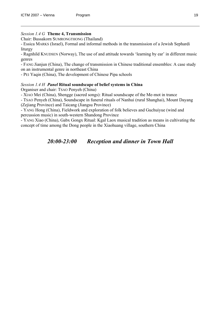#### *Session 1.4 G* **Theme 4, Transmission**

Chair: Bussakorn SUMRONGTHONG (Thailand)

- Essica MARKS (Israel), Formal and informal methods in the transmission of a Jewish Sephardi liturgy

- Ragnhild KNUDSEN (Norway), The use of and attitude towards 'learning by ear' in different music genres

- FANG Jianjun (China), The change of transmission in Chinese traditional ensembles: A case study on an instrumental genre in northeast China

- PEI Yaqin (China), The development of Chinese Pipa schools

#### *Session 1.4 H Panel* **Ritual soundscape of belief systems in China**

Organiser and chair: TSAO Penyeh (China)

- XIAO Mei (China), Shengge (sacred songs): Ritual soundscape of the Me-mot in trance

- TSAO Penyeh (China), Soundscape in funeral rituals of Nanhui (rural Shanghai), Mount Dayang (Zejiang Province) and Taicang (Jiangsu Province)

- YANG Hong (China), Fieldwork and exploration of folk believes and Guchuiyue (wind and percussion music) in south-western Shandong Province

- YANG Xiao (China), Gabx Gongx Ritual: Kgal Laox musical tradition as means in cultivating the concept of time among the Dong people in the Xiaohuang village, southern China

*20:00-23:00 Reception and dinner in Town Hall*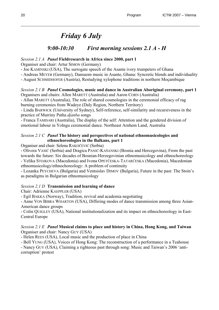## *Friday 6 July*

## *9:00-10:30 First morning sessions 2.1 A - H*

#### *Session 2.1 A Panel* **Fieldresearch in Africa since 2000, part 1**

Organiser and chair: Artur SIMON (Germany)

- Joe KAMINSKI (USA), The surrogate speech of the Asante ivory trumpeters of Ghana

- Andreas MEYER (Germany), Dansuom music in Asante, Ghana: Syncretic blends and individuality

- August SCHMIDHOFER (Austria), Restudying xylophone traditions in northern Moçambique

#### *Session 2.1 B Panel* **Cosmologies, music and dance in Australian Aboriginal ceremony, part 1**  Organisers and chairs: Allen MARETT (Australia) and Aaron CORN (Australia)

- Allan MARETT (Australia), The role of shared cosmologies in the ceremonial efficacy of rag burning ceremonies from Wadeye (Daly Region, Northern Territory)

- Linda BARWICK (University of Sydney), Self-reference, self-similarity and recursiveness in the practice of Murriny Patha *djanba* songs

- Franca TAMISARI (Australia), The display of the self: Attention and the gendered division of emotional labour in Yolngu ceremonial dance. Northeast Arnhem Land, Australia

#### *Session 2.1 C Panel* **The history and perspectives of national ethnomusicologies and ethnochoreologies in the Balkans, part 1**

Organiser and chair: Selena RAKOČEVIĆ (Serbia)

- Olivera VASIĆ (Serbia) and Dragica PANIĆ-KAŠANSKI (Bosnia and Hercegovina), From the past towards the future: Six decades of Bosnian-Herzegovinian ethnomusicology and ethnochoreolog*y*  - Velika STOJKOVA (Macedonia) and Ivona OPETČESKA-TATARČESKA (Macedonia), Macedonian ethnomusicology/ethnochoreology: A problem of continuity

- Lozanka PEYCHEVA (Bulgaria) and Ventsislav DIMOV (Bulgaria), Future in the past: The Stoin's as paradigms in Bulgarian ethnomusicology

#### *Session 2.1 D* **Transmission and learning of dance**

Chair: Adrienne KAEPPLER (USA)

- Egil BAKKA (Norway), Tradition, revival and academia negotiating

- Anne VON BIBRA WHARTON (USA), Differing modes of dance transmission among three Asian-American dance groups

- Colin QUIGLEY (USA), National institutionalization and its impact on ethnochoreology in East-Central Europe

#### *Session 2.1 E Panel* **Musical claims to place and history in China, Hong Kong, and Taiwan**  Organiser and chair: Nancy GUY (USA)

- Helen REES (USA), Local music and the production of place in China

- Bell YUNG (USA), Voices of Hong Kong: The reconstruction of a performance in a Teahouse

- Nancy GUY (USA), Claiming a righteous past through song: Music and Taiwan's 2006 'anticorruption' protest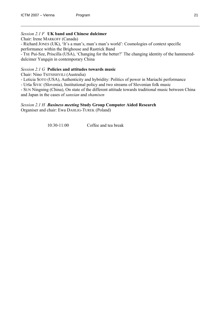#### *Session 2.1 F* **UK band and Chinese dulcimer**

Chair: Irene MARKOFF (Canada)

- Richard JONES (UK), 'It's a man's, man's man's world': Cosmologies of context specific performance within the Brighouse and Rastrick Band

- TSE Pui-Sze, Priscilla (USA), 'Changing for the better?' The changing identity of the hammereddulcimer Yangqin in contemporary China

#### *Session 2.1 G* **Policies and attitudes towards music**

Chair: Nino TSITSISHVILI (Australia)

- Leticia SOTO (USA), Authenticity and hybridity: Politics of power in Mariachi performance

- Urša ŠIVIC (Slovenia), Institutional policy and two streams of Slovenian folk music

- SUN Ningning (China), On state of the different attitude towards traditional music between China and Japan in the cases of *sanxian* and *shamisen*

#### *Session 2.1 H Business meeting* **Study Group Computer Aided Research**

Organiser and chair: Ewa DAHLIG-TUREK (Poland)

10:30-11:00 Coffee and tea break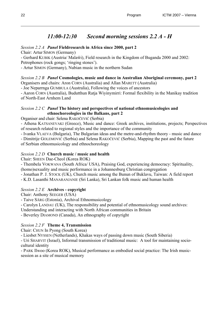## *11:00-12:30 Second morning sessions 2.2 A - H*

### *Session 2.2 A Panel* **Fieldresearch in Africa since 2000, part 2**

Chair: Artur SIMON (Germany)

- Gerhard KUBIK (Austria/ Malaŵi), Field research in the Kingdom of Buganda 2000 and 2002: Petrophones (rock gongs; 'ringing stones').

- Artur SIMON (Germany), Nubian music in the northern Sudan

## *Session 2.2 B Panel* **Cosmologies, music and dance in Australian Aboriginal ceremony, part 2**

Organisers and chairs: Aron CORN (Australia) and Allan MARETT (Australia)

- Joe Neparrnga GUMBULA (Australia), Following the voices of ancestors

- Aaron CORN (Australia), Budutthun Ratja Wiyinymirri: Formal flexibility in the Manikay tradition of North-East Arnhem Land

#### *Session 2.2 C Panel* **The history and perspectives of national ethnomusicologies and ethnochoreologies in the Balkans, part 2**

Organiser and chair: Selena RAKOČEVIĆ (Serbia)

- Athena KATSANEVAKI (Greece), Music and dance: Greek archives, institutions, projects; Perspectives of research related to regional styles and the importance of the community

- Ivanka VLAEVA (Bulgaria), The Bulgarian ideas and the metre-and-rhythm theory - music and dance

- Dimitrije GOLEMOVIĆ (Serbia) and Selena RAKOČEVIĆ (Serbia), Mapping the past and the future of Serbian ethnomusicology and ethnochoreology

### *Session 2.2 D* **Church music / music and health**

Chair: SHEEN Dae-Cheol (Korea ROK)

- Thembela VOKWANA (South Africa/ USA), Praising God, experiencing democracy: Spirituality, (homo)sexuality and music performance in a Johannesburg Christian congregation

- Jonathan P. J. STOCK (UK), Church music among the Bunun of Buklavu, Taiwan: A field report

- K.D. Lasanthi MANARANJANIE (Sri Lanka), Sri Lankan folk music and human health

## *Session 2.2 E* **Archives - copyright**

Chair: Anthony SEEGER (USA)

- Taive SÄRG (Estonia), Archival Ethnomusicology

- Carolyn LANDAU (UK), The responsibility and potential of ethnomusicology sound archives:

Understanding and interacting with North African communities in Britain

- Beverley DIAMOND (Canada), An ethnography of copyright

## *Session 2.2 F* **Theme 4, Transmission**

Chair: CHUN In Pyong (South Korea)

- Liesbet NYSSEN (Netherlands), Khakas ways of passing down music (South Siberia)

- Uri SHARVIT (Israel), Informal transmission of traditional music: A tool for maintaining sociocultural identity

- PARK Ilwoo (Korea ROK), Musical performance as embodied social practice: The Irish musicsession as a site of musical memory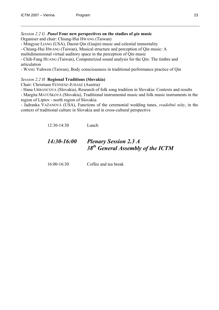#### *Session 2.2 G Panel* **Four new perspectives on the studies of** *qin* **music**

Organiser and chair: Chiung-Hui HWANG (Taiwan)

- Mingyue LIANG (USA), Daoist Qin (Guqin) music and celestial immortality

- Chiung-Hui HWANG (Taiwan), Musical structure and perception of Qin music: A

multidimensional virtual auditory space in the perception of Qin music

- Chih-Fang HUANG (Taiwan), Computerized sound analysis for the Qin: The timbre and articulation

- WANG Yuhwen (Taiwan), Body consciousness in traditional performance practice of Qin

#### *Session 2.2 H* **Regional Traditions (Slovakia)**

Chair: Christiane FENNESZ-JUHASZ (Austria)

- Hana URBANCOVA (Slovakia), Research of folk song tradition in Slovakia: Contexts and results

- Margita MATÚŠKOVÁ (Slovakia), Traditional instrumental music and folk music instruments in the region of Liptov - north region of Slovakia

- Jadranka VAŽANOVÁ (USA), Functions of the ceremonial wedding tunes, *svadobné nôty*, in the context of traditional culture in Slovakia and in cross-cultural perspective

12:30-14:30 Lunch

## *14:30-16:00 Plenary Session 2.3 A 38th General Assembly of the ICTM*

16:00-16:30 Coffee and tea break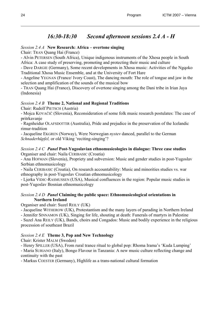## *16:30-18:30 Second afternoon sessions 2.4 A - H*

### *Session 2.4 A* **New Research: Africa – overtone singing**

Chair: TRAN Quang Hai (France)

- Alvin PETERSEN (South Africa), Unique indigenous instruments of the Xhosa people in South Africa: A case study of preserving, promoting and protecting their music and culture

- Dave DARGIE (Germany), Some recent developments in Xhosa music: Activities of the Ngqoko Traditional Xhosa Music Ensemble, and at the University of Fort Hare

- Angeline YEGNAN (France/ Ivory Coast), The dancing mouth: The role of tongue and jaw in the selection and amplification of the sounds of the musical bow

- TRAN Quang Hai (France), Discovery of overtone singing among the Dani tribe in Irian Jaya (Indonesia)

### *Session 2.4 B* **Theme 2, National and Regional Traditions**

Chair: Rudolf PIETSCH (Austria)

- Mojca KOVAČIČ (Slovenia), Reconsideration of some folk music research postulates: The case of pritrkavanje

- Ragnheidur OLAFSDOTTIR (Australia), Pride and prejudice in the preservation of the Icelandic rimur-tradition

- Jacqueline EKGREN (Norway), Were Norwegian *nystev* danced, parallel to the German *Schnaderhüpfel,* or old Viking 'reciting-singing'?

#### *Session 2.4 C Panel* **Post-Yugoslavian ethnomusicologies in dialogue: Three case studies** Organiser and chair: Naila CERIBASIC (Croatia)

- Ana HOFMAN (Slovenia), Propriety and subversion: Music and gender studies in post-Yugoslav Serbian ethnomusicology

- Naila CERIBASIC (Croatia), On research accountability: Music and minorities studies vs. war ethnography in post-Yugoslav Croatian ethnomusicology

- Ljerka VIDIC-RASMUSSEN (USA), Musical confluences in the region: Popular music studies in post-Yugoslav Bosnian ethnomusicology

#### *Session 2.4 D Panel* **Claiming the public space: Ethnomusicological orientations in Northern Ireland**

Organiser and chair: Suzel REILY (UK)

- Jacqueline WITHEROW (UK), Protestantism and the many layers of parading in Northern Ireland

- Jennifer SINNAMON (UK), Singing for life, shouting at death: Funerals of martyrs in Palestine

- Suzel Ana REILY (UK), Bands, choirs and Congados: Music and bodily experience in the religious procession of southeast Brazil

## *Session 2.4 E* **Theme 3, Pop and New Technology**

Chair: Krister MALM (Sweden)

- Henry SPILLER (USA), From rural trance ritual to global pop: Rhoma Irama's 'Kuda Lumping'

- Maria SURIANO (Italy), Bongo Flavour in Tanzania: A new music culture reflecting change and continuity with the past

- Markus COESTER (Germany), Highlife as a trans-national cultural formation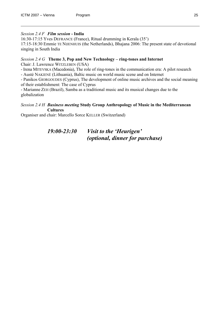#### *Session 2.4 F Film session* **- India**

16:30-17:15 Yves DEFRANCE (France), Ritual drumming in Kerala (35')

17:15-18:30 Emmie TE NIJENHUIS (the Netherlands), Bhajana 2006: The present state of devotional singing in South India

#### *Session 2.4 G* **Theme 3, Pop and New Technology – ring-tones and Internet**  Chair: J. Lawrence WITZLEBEN (USA)

- Irena MITEVSKA (Macedonia), The role of ring-tones in the communication era: A pilot research

- Austė NAKIENĖ (Lithuania), Baltic music on world music scene and on Internet

- Panikos GIORGOUDES (Cyprus), The development of online music archives and the social meaning of their establishment: The case of Cyprus

- Marianne ZEH (Brazil), Samba as a traditional music and its musical changes due to the globalization

#### *Session 2.4 H Business meeting* **Study Group Anthropology of Music in the Mediterranean Cultures**

Organiser and chair: Marcello Sorce KELLER (Switzerland)

## *19:00-23:30 Visit to the 'Heurigen' (optional, dinner for purchase)*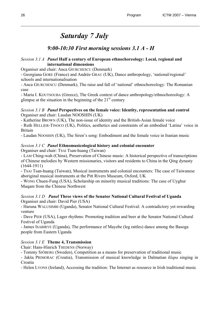## *Saturday 7 July*

## *9:00-10:30 First morning sessions 3.1 A - H*

#### *Session 3.1 A Panel* **Half a century of European ethnochoreology: Local, regional and international dimensions**

Organiser and chair: Anca GIURCHESCU (Denmark)

- Georgiana GORE (France) and Andrée GRAU (UK), Dance anthropology, 'national/regional' schools and internationalisation

- Anca GIURCHESCU (Denmark), The raise and fall of 'national' ethnochoreology: The Romanian case

- Maria I. KOUTSOUBA (Greece), The Greek context of dance anthropology/ethnochoreology: A glimpse at the situation in the beginning of the  $21<sup>st</sup>$  century

#### *Session 3.1 B Panel* **Perspectives on the female voice: Identity, representation and control** Organiser and chair: Laudan NOOSHIN (UK)

- Katherine BROWN (UK), The non-issue of identity and the British-Asian female voice

- Ruth HELLIER-TINOCO (UK), Politics, aesthetics and constraints of an embodied 'Latina' voice in Britain

- Laudan NOOSHIN (UK), The Siren's song: Embodiment and the female voice in Iranian music

#### *Session 3.1 C Panel* **Ethnomusicological history and colonial encounter**

Organiser and chair: TSAI Tsan-huang (Taiwan)

- LAM Ching-wah (China), Preservation of Chinese music: A historical perspective of transcriptions of Chinese melodies by Western missionaries, visitors and residents to China in the Qing dynasty (1644-1911)

- TSAI Tsan-huang (Taiwan), Musical instruments and colonial encounters: The case of Taiwanese aboriginal musical instruments at the Pitt Rivers Museum, Oxford, UK

- WONG Chuen-Fung (USA), Scholarship on minority musical traditions: The case of Uyghur Muqam from the Chinese Northwest

#### *Session 3.1 D Panel* **Three views of the Senator National Cultural Festival of Uganda** Organiser and chair: David Pier (USA)

- Haruna WALUSIMBI (Uganda), Senator National Cultural Festival: A contradictory yet rewarding venture

- Dave PIER (USA), Lager rhythms: Promoting tradition and beer at the Senator National Cultural Festival of Uganda

- James ISABIRYE (Uganda), The performance of Mayebe (leg rattles) dance among the Basoga people from Eastern Uganda

#### *Session 3.1 E* **Theme 4, Transmission**

Chair: Hans-Hinrich THEDENS (Norway)

- Tommy SJÖBERG (Sweden), Competition as a means for preservation of traditional music

- Jakša PRIMORAC (Croatia), Transmission of musical knowledge in Dalmatian *klapa* singing in Croatia

- Helen LYONS (Ireland), Accessing the tradition: The Internet as resource in Irish traditional music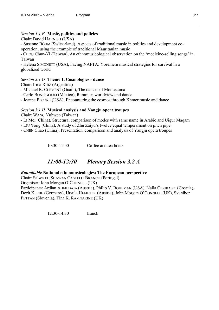#### *Session 3.1 F* **Music, politics and policies**

Chair: David HARNISH (USA)

- Susanne BÖHM (Switserland), Aspects of traditional music in politics and development cooperation, using the example of traditional Mauritanian music

- CHOU Chun-Yi (Taiwan), An ethnomusicological observation on the 'medicine-selling songs' in Taiwan

- Helena SIMONETT (USA), Facing NAFTA: Yoremem musical strategies for survival in a globalized world

#### *Session 3.1 G* **Theme 1, Cosmologies - dance**

Chair: Irma RUIZ (Argentina)

- Michael R. CLEMENT (Guam), The dances of Montezuma
- Carlo BONFIGLIOLI (Mexico), Raramuri worldview and dance
- Joanna PECORE (USA), Encountering the cosmos through Khmer music and dance

#### *Session 3.1 H* **Musical analysis and Yangju opera troupes**

Chair: WANG Yuhwen (Taiwan)

- LI Mei (China), Structural comparison of modes with same name in Arabic and Uigur Maqam

- LIU Yong (China), A study of Zhu Zaiyu's twelve equal temperament on pitch pipe

- CHEN Chao (China), Presentation, comparison and analysis of Yangju opera troupes

10:30-11:00 Coffee and tea break

## *11:00-12:30 Plenary Session 3.2 A*

#### *Roundtable* **National ethnomusicologies: The European perspective**

Chair: Salwa EL-SHAWAN CASTELO-BRANCO (Portugal)

Organiser: John Morgan O'CONNELL (UK)

Participants: Ardian AHMEDAJA (Austria), Philip V. BOHLMAN (USA), Naila CERIBASIC (Croatia), Dorit KLEBE (Germany), Ursula HEMETEK (Austria), John Morgan O'CONNELL (UK), Svanibor PETTAN (Slovenia), Tina K. RAMNARINE (UK)

12:30-14:30 Lunch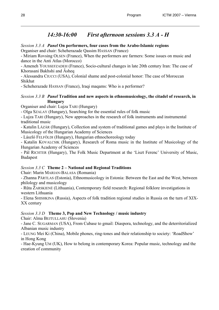## *14:30-16:00 First afternoon sessions 3.3 A - H*

#### *Session 3.3 A Panel* **On performers, four cases from the Arabo-Islamic regions**

Organiser and chair: Scheherazade Qassim HASSAN (France)

- Miriam Rovsing OLSEN (France), When the performers are farmers: Some issues on music and dance in the Anti Atlas (Morocco)

- Ameneh YOUSSEFZADEH (France), Socio-cultural changes in late 20th century Iran: The case of Khorasani Bakhshi and Âsheq

- Alessandra CIUCCI (USA), Colonial shame and post-colonial honor: The case of Moroccan Shikhat

- Scheherazade HASSAN (France), Iraqi maqams: Who is a performer?

#### *Session 3.3 B Panel* **Tradition and new aspects in ethnomusicology, the citadel of research, in Hungary**

Organiser and chair: Lujza TARI (Hungary)

- Olga SZALAY (Hungary), Searching for the essential rules of folk music

- Lujza TARI (Hungary), New approaches in the research of folk instruments and instrumental traditional music

- Katalin LÁZÁR (Hungary), Collection and system of traditional games and plays in the Institute of Musicology of the Hungarian Academy of Sciences

- László FELFÖLDI (Hungary), Hungarian ethnochoreology today

- Katalin KOVALCSIK (Hungary), Research of Roma music in the Institute of Musicology of the Hungarian Academy of Sciences

- Pál RICHTER (Hungary), The Folk Music Department at the 'Liszt Ferenc' University of Music, Budapest

#### *Session 3.3 C* **Theme 2 – National and Regional Traditions**

Chair: Marin MARIAN-BALASA (Romania)

- Zhanna PÄRTLAS (Estonia), Ethnomusicology in Estonia: Between the East and the West, between philology and musicology

- Rūta ŽARSKIENĖ (Lithuania), Contemporary field research: Regional folklore investigations in western Lithuania

- Elena SHISHKINA (Russia), Aspects of folk tradition regional studies in Russia on the turn of XIX-XX century

#### *Session 3.3 D* **Theme 3, Pop and New Technology / music industry**

Chair: Alma BEJTULLAHU (Slovenia)

- Jane C. SUGARMAN (USA), From Cubase to gmail: Diaspora, technology, and the deterritorialized Albanian music industry

- LEUNG Mei Ki (China), Mobile phones, ring-tones and their relationship to society: 'RoadShow' in Hong Kong

- Hae-Kyung UM (UK), How to belong in contemporary Korea: Popular music, technology and the creation of community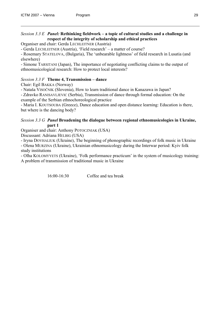#### *Session 3.3 E Panel:* **Rethinking fieldwork – a topic of cultural studies and a challenge in respect of the integrity of scholarship and ethical practices**

Organiser and chair: Gerda LECHLEITNER (Austria)

- Gerda LECHLEITNER (Austria), 'Field research' – a matter of course?

- Rosemary STATELOVA, (Bulgaria), The 'unbearable lightness' of field research in Lusatia (and elsewhere)

- Simone TARSITANI (Japan), The importance of negotiating conflicting claims to the output of ethnomusicological research: How to protect local interests?

#### *Session 3.3 F* **Theme 4, Transmission – dance**

Chair: Egil BAKKA (Norway)

- Nataša VISOČNIK (Slovenia), How to learn traditional dance in Kanazawa in Japan?

- Zdravko RANISAVLJEVIC (Serbia), Transmission of dance through formal education: On the example of the Serbian ethnochoreological practice

- Maria I. KOUTSOUBA (Greece), Dance education and open distance learning: Education is there, but where is the dancing body?

#### *Session 3.3 G Panel* **Broadening the dialogue between regional ethnomusicologies in Ukraine, part 1**

Organiser and chair: Anthony POTOCZNIAK (USA)

Discussant: Adriana HELBIG (USA)

- Iryna DOVHALIUK (Ukraine), The beginning of phonographic recordings of folk music in Ukraine - Olena MURZINA (Ukraine), Ukrainian ethnomusicology during the Interwar period: Kyiv folk study institutions

- Olha KOLOMYYETS (Ukraine), 'Folk performance practicum' in the system of musicology training: A problem of transmission of traditional music in Ukraine

16:00-16:30 Coffee and tea break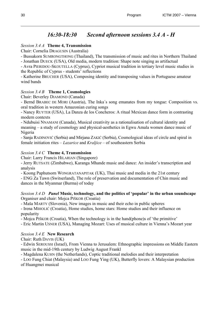## *16:30-18:30 Second afternoon sessions 3.4 A - H*

### *Session 3.4 A* **Theme 4, Transmission**

Chair: Cornelia DRAGUSIN (Australia)

- Bussakorn SUMRONGTHONG (Thailand), The transmission of music and rites in Northern Thailand - Jonathan DUECK (USA), Old media, modern tradition: Shape note singing as artifactual

- Avra PIERIDOU-SKOUTELLA (Cyprus), Cypriot musical tradition in tertiary level music studies in the Republic of Cyprus - students' reflections

- Katherine BRUCHER (USA), Composing identity and transposing values in Portuguese amateur wind bands

### *Session 3.4 B* **Theme 1, Cosmologies**

Chair: Beverley DIAMOND (Canada)

- Bernd BRABEC DE MORI (Austria), The Inka´s song emanates from my tongue: Composition vs. oral tradition in western Amazonian curing songs

- Nancy RUYTER (USA), La Danza de los Concheros: A ritual Mexican dance form in contrasting modern contexts

- Ndubuisi NNAMANI (Canada), Musical creativity as a rationalisation of cultural identity and meaning – a study of cosmology and physical-aesthetics in Egwu Amala women dance music of Nigeria

- Sanja RADINOVIĆ (Serbia) and Mirjana ZAKIĆ (Serbia), Cosmological ideas of circle and spiral in female initiation rites – *Lazarice* and *Kraljice* – of southeastern Serbia

### *Session 3.4 C* **Theme 4, Transmission**

Chair: Larry Francis HILARIAN (Singapore)

- Jerry RUTSATE (Zimbabwe), Karanga Mhande music and dance: An insider's transcription and analysis

- Koong Paphutsorn WONGRATANAPITAK (UK), Thai music and media in the 21st century

- ENG Za Tawn (Switserland), The role of preservation and documentation of Chin music and dances in the Myanmar (Burma) of today

#### *Session 3.4 D Panel* **Music, technology, and the politics of 'popular' in the urban soundscape**  Organiser and chair: Mojca PIŠKOR (Croatia)

- Maša MARTY (Slovenia), New images in music and their echo in public spheres

- Irena MIHOLIĆ (Croatia), Home studios, home stars: Home studios and their influence on popularity

- Mojca PIŠKOR (Croatia), When the technology is in the hand(phone)s of 'the primitive'

- Eric Martin USNER (USA), Managing Mozart: Uses of musical culture in Vienna's Mozart year

### *Session 3.4 E* **New Research**

Chair: Ruth DAVIS (UK)

- Edwin SEROUSSI (Israel), From Vienna to Jerusalem: Ethnographic impressions on Middle Eastern music in the mid-19th century by Ludwig August Frankl

- Magdalena KUHN (the Netherlands), Coptic traditional melodies and their interpretation

- LOO Fung Chiat (Malaysia) and LOO Fung Ying (UK), Butterfly lovers: A Malaysian production of Huangmei musical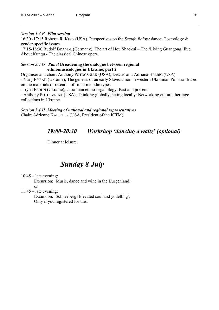#### *Session 3.4 F Film session*

16:30 -17:15 Roberta R. KING (USA), Perspectives on the *Senufo Boloye* dance: Cosmology & gender-specific issues

17:15-18:30 Rudolf BRANDL (Germany), The art of Hou Shaokui – The 'Living Guangong' live. About Kunqu - The classical Chinese opera.

#### *Session 3.4 G Panel* **Broadening the dialogue between regional ethnomusicologies in Ukraine, part 2**

Organiser and chair: Anthony POTOCZNIAK (USA); Discussant: Adriana HELBIG (USA)

- Yurij RYBAK (Ukraine), The genesis of an early Slavic union in western Ukrainian Polissia: Based on the materials of research of ritual melodic types

- Iryna FEDUN (Ukraine), Ukrainian ethno-organology: Past and present

- Anthony POTOCZNIAK (USA), Thinking globally, acting locally: Networking cultural heritage collections in Ukraine

*Session 3.4 H Meeting of national and regional representatives* Chair: Adrienne KAEPPLER (USA, President of the ICTM)

## *19:00-20:30 Workshop 'dancing a waltz' (optional)*

Dinner at leisure

## *Sunday 8 July*

 $10:45 -$  late evening:

Excursion: 'Music, dance and wine in the Burgenland.' or

 $11:45$  – late evening:

Excursion: 'Schneeberg: Elevated soul and yodelling', Only if you registered for this.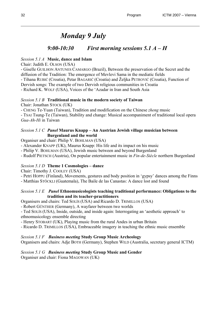## *Monday 9 July*

## *9:00-10:30 First morning sessions 5.1 A – H*

#### *Session 5.1 A* **Music, dance and Islam**

Chair: Judith E. OLSON (USA)

- Giselle GUILHON ANTUNES CAMARGO (Brazil), Between the preservation of the Secret and the diffusion of the Tradition: The emergence of Mevlevi Sama in the mediatic fields

- Tihana RUBIĆ (Croatia), Petar BAGARIĆ (Croatia) and Željka PETROVIĆ (Croatia), Function of

Dervish songs: The example of two Dervish religious communities in Croatia

- Richard K. WOLF (USA), Voices of the 'Azadar in Iran and South Asia

#### *Session 5.1 B* **Traditional music in the modern society of Taiwan**  Chair: Jonathan STOCK (UK)

- CHENG Te-Yuan (Taiwan), Tradition and modification on the Chinese *zheng* music

- TSAI Tsung-Te (Taiwan), Stability and change: Musical accompaniment of traditional local opera *Gua-Ah-Hi* in Taiwan

#### *Session 5.1 C Panel* **Maurus Knapp – An Austrian Jewish village musician between Burgenland and the world**

Organiser and chair: Philip V. BOHLMAN (USA)

- Alexander KNAPP (UK), Maurus Knapp: His life and its impact on his music

- Philip V. BOHLMAN (USA), Jewish music between and beyond Burgenland

- Rudolf PIETSCH (Austria), On popular entertainment music in *Fin-de-Siècle* northern Burgenland

#### *Session 5.1 D* **Theme 1 Cosmologies – dance**

Chair: Timothy J. COOLEY (USA)

- Petri HOPPU (Finland), Movements, gestures and body position in 'gypsy' dances among the Finns

- Matthias STÖCKLI (Guatemala), The Baile de las Canastas: A dance lost and found

#### *Session 5.1 E Panel* **Ethnomusicologists teaching traditional performance: Obligations to the tradition and its teacher-practitioners**

Organisers and chairs: Ted SOLÍS (USA) and Ricardo D. TRIMILLOS (USA)

- Robert GÜNTHER (Germany), A wayfarer between two worlds

- Ted SOLÍS (USA), Inside, outside, and inside again: Interrogating an 'aesthetic approach' to ethnomusicology ensemble directing

- Henry STOBART (UK), Playing music from the rural Andes in urban Britain

- Ricardo D. TRIMILLOS (USA), Embraceable imagery in teaching the ethnic music ensemble

#### *Session 5.1 F Business meeting* **Study Group Music Archeology**

Organisers and chairs: Adje BOTH (Germany), Stephen WILD (Australia, secretary general ICTM)

### *Session 5.1 G Business meeting* **Study Group Music and Gender**

Organiser and chair: Fiona MAGOWAN (UK)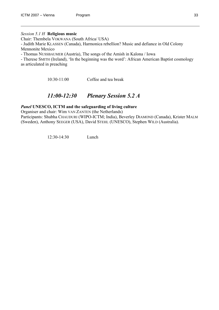#### *Session 5.1 H* **Religious music**

Chair: Thembela VOKWANA (South Africa/ USA) - Judith Marie KLASSEN (Canada), Harmonica rebellion? Music and defiance in Old Colony Mennonite Mexico - Thomas NUSSBAUMER (Austria), The songs of the Amish in Kalona / Iowa - Therese SMITH (Ireland), 'In the beginning was the word': African American Baptist cosmology

as articulated in preaching

10:30-11:00 Coffee and tea break

## *11:00-12:30 Plenary Session 5.2 A*

#### *Panel* **UNESCO, ICTM and the safeguarding of living culture**

Organiser and chair: Wim VAN ZANTEN (the Netherlands) Participants: Shubha CHAUDURI (WIPO-ICTM; India), Beverley DIAMOND (Canada), Krister MALM (Sweden), Anthony SEEGER (USA), David STEHL (UNESCO), Stephen WILD (Australia).

12:30-14:30 Lunch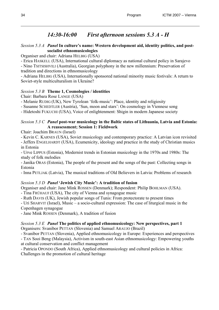## *14:30-16:00 First afternoon sessions 5.3 A - H*

#### *Session 5.3 A Panel* **In culture's name: Western development aid, identity politics, and postsocialist ethnomusicologies**

Organiser and chair: Adriana HELBIG (USA)

- Erica HASKELL (USA), International cultural diplomacy as national cultural policy in Sarajevo - Nino TSITSISHVILI (Australia), Georgian polyphony in the new millennium: Preservation of tradition and directions in ethnomusicology

- Adriana HELBIG (USA), Internationally sponsored national minority music festivals: A return to Soviet-style multiculturalism in Ukraine?

### *Session 5.3 B* **Theme 1, Cosmologies / identities**

Chair: Barbara Rose LANGE (USA)

- Melanie RUDIG (UK), New Tyrolean 'folk-music': Place, identity and religiosity

- Susanne SCHEDTLER (Austria), 'Sun, moon and stars': On cosmology in Viennese song

- Hidetoshi FUKUCHI (USA), Voice of enlightenment: Shigin in modern Japanese society

#### *Session 5.3 C Panel* **post-war musicology in the Baltic states of Lithuania, Latvia and Estonia: A reassessment; Session 1: Fieldwork**

Chair: Joachim BRAUN (Israel)

- Kevin C. KARNES (USA), Soviet musicology and contemporary practice: A Latvian icon revisited - Jeffers ENGELHARDT (USA), Ecumenicity, ideology and practice in the study of Christian musics in Estonia

- Urve LIPPUS (Estonia), Modernist trends in Estonian musicology in the 1970s and 1980s: The study of folk melodies

- Janika ORAS (Estonia), The people of the present and the songs of the past: Collecting songs in Estonia

- Inna PETLJAK (Latvia), The musical traditions of Old Believers in Latvia: Problems of research

## *Session 5.3 D Panel* **'Jewish City Music': A tradition of fusion**

Organiser and chair: Jane Mink ROSSEN (Denmark); Respondent: Philip BOHLMAN (USA).

- Tina FRÜHAUF (USA), The city of Vienna and synagogue music

- Ruth DAVIS (UK), Jewish popular songs of Tunis: From protectorate to present times

- Uri SHARVIT (Israel), Music – a socio-cultural expression: The case of liturgical music in the Copenhagen synagogue

- Jane Mink ROSSEN (Denmark), A tradition of fusion

## *Session 5.3 E Panel* **The politics of applied ethnomusicology: New perspectives, part 1**

Organisers: Svanibor PETTAN (Slovenia) and Samuel ARAUJO (Brazil)

- Svanibor PETTAN (Slovenia), Applied ethnomusicology in Europe: Experiences and perspectives - TAN Sooi Beng (Malaysia), Activism in south-east Asian ethnomusicology: Empowering youths at cultural conservation and conflict management

- Patricia OPONDO (South Africa), Applied ethnomusicology and cultural policies in Africa: Challenges in the promotion of cultural heritage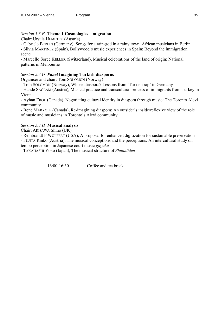#### *Session 5.3 F* **Theme 1 Cosmologies – migration**

Chair: Ursula HEMETEK (Austria)

- Gabriele BERLIN (Germany), Songs for a rain-god in a rainy town: African musicians in Berlin - Silvia MARTINEZ (Spain), Bollywood`s music experiences in Spain: Beyond the immigration

scene

- Marcello Sorce KELLER (Switzerland), Musical celebrations of the land of origin: National patterns in Melbourne

#### *Session 5.3 G Panel* **Imagining Turkish diasporas**

Organiser and chair: Tom SOLOMON (Norway)

- Tom SOLOMON (Norway), Whose diaspora? Lessons from 'Turkish rap' in Germany

*-* Hande SAĞLAM (Austria)*,* Musical practice and transcultural process of immigrants from Turkey in Vienna

- Ayhan EROL (Canada), Negotiating cultural identity in diaspora through music: The Toronto Alevi community

- Irene MARKOFF (Canada), Re-imagining diaspora: An outsider's inside/reflexive view of the role of music and musicians in Toronto's Alevi community

#### *Session 5.3 H* **Musical analysis**

Chair: ARISAWA Shino (UK)

- Rembrandt F WOLPERT (USA), A proposal for enhanced digitization for sustainable preservation - FUJITA Rinko (Austria), The musical conceptions and the perceptions: An intercultural study on

tempo perception in Japanese court music *gagaku*

- TAKAHASHI Yoko (Japan), The musical structure of *Shunnōden*

16:00-16:30 Coffee and tea break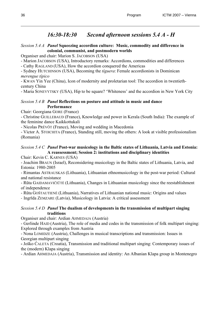## *16:30-18:30 Second afternoon sessions 5.4 A - H*

#### *Session 5.4 A Panel* **Squeezing accordion culture: Music, commodity and difference in colonial, communist, and postmodern worlds**

Organiser and chair: Marion S. JACOBSON (USA)

- Marion JACOBSON (USA), Introductory remarks: Accordions, commodities and differences

- Cathy RAGLAND (USA), How the accordion conquered the Americas

- Sydney HUTCHINSON (USA), Becoming the *tíguera*: Female accordionists in Dominican *merengue típico*

- KWAN Yin Yee (China), Icon of modernity and proletarian tool: The accordion in twentiethcentury China

- Maria SONEVYTSKY (USA), Hip to be square? 'Whiteness' and the accordion in New York City

#### *Session 5.4 B Panel* **Reflections on posture and attitude in music and dance Performance**

Chair: Georgiana GORE (France)

- Christine GUILLEBAUD (France), Knowledge and power in Kerala (South India): The example of the feminine dance Kaikkottukali

- Nicolas PRÉVÔT (France), Moving and wedding in Macedonia

- Victor A. STOICHITA (France), Standing still, moving the others: A look at visible professionalism (Romania)

### *Session 5.4 C Panel* **Post-war musicology in the Baltic states of Lithuania, Latvia and Estonia: A reassessment; Session 2: institutions and disciplinary identities**

Chair: Kevin C. KARNES (USA)

- Joachim BRAUN (Israel), Reconsidering musicology in the Baltic states of Lithuania, Latvia, and Estonia: 1980-2005

- Rimantas ASTRAUSKAS (Lithuania), Lithuanian ethnomusicology in the post-war period: Cultural and national resistance

- Rūta GAIDAMAVIČIŪTĖ (Lithuania), Changes in Lithuanian musicology since the reestablishment of independence

- Rūta GOŠTAUTIENĖ (Lithuania), Narratives of Lithuanian national music: Origins and values

- Ingrīda ZEMZARE (Latvia), Musicology in Latvia: A critical assessment

### *Session 5.4 D Panel* **The dualism of developments in the transmission of multipart singing traditions**

Organiser and chair: Ardian AHMEDAJA (Austria)

- Gerlinde HAID (Austria), The role of media and codes in the transmission of folk multipart singing: Explored through examples from Austria

- Nona LOMIDZE (Austria), Challenges in musical transcriptions and transmission: Issues in Georgian multipart singing

**-** Joško ĆALETA (Croatia), Transmission and traditional multipart singing: Contemporary issues of the (modern) Klapa singing

- Ardian AHMEDAJA (Austria), Transmission and identity: An Albanian Klapa group in Montenegro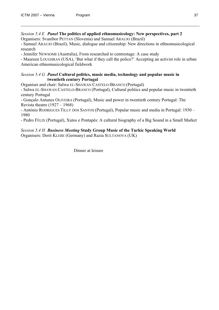*Session 5.4 E Panel* **The politics of applied ethnomusicology: New perspectives, part 2**  Organisers: Svanibor PETTAN (Slovenia) and Samuel ARAUJO (Brazil)

- Samuel ARAUJO (Brazil), Music, dialogue and citizenship: New directions in ethnomusicological research

- Jennifer NEWSOME (Australia), From researched to centrestage: A case study

- Maureen LOUGHRAN (USA), 'But what if they call the police?' Accepting an activist role in urban American ethnomusicological fieldwork

#### *Session 5.4 G Panel* **Cultural politics, music media, technology and popular music in twentieth century Portugal**

Organiser and chair: Salwa EL-SHAWAN CASTELO-BRANCO (Portugal)

- Salwa EL-SHAWAN CASTELO-BRANCO (Portugal), Cultural politics and popular music in twentieth century Portugal

- Gonçalo Antunes OLIVEIRA (Portugal), Music and power in twentieth century Portugal: The Revista theatre (1927 – 1968)

- António RODRIGUES TILLY DOS SANTOS (Portugal), Popular music and media in Portugal: 1930 – 1980

- Pedro FÉLIX (Portugal), Xutos e Pontapés: A cultural biography of a Big Sound in a Small Market

### *Session 5.4 H Business Meeting* **Study Group Music of the Turkic Speaking World**

Organisers: Dorit KLEBE (Germany) and Razia SULTANOVA (UK)

**Dinner** at leisure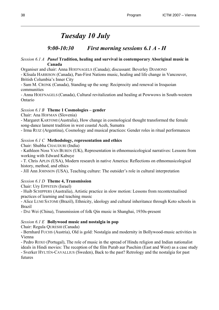## *Tuesday 10 July*

## *9:00-10:30 First morning sessions 6.1 A - H*

#### *Session 6.1 A Panel* **Tradition, healing and survival in contemporary Aboriginal music in Canada**

Organiser and chair: Anna HOEFNAGELS (Canada); discussant: Beverley DIAMOND

- Klisala HARRISON (Canada), Pan-First Nations music, healing and life change in Vancouver, British Columbia's Inner City

- Sam M. CRONK (Canada), Standing up the song: Reciprocity and renewal in Iroquoian communities

- Anna HOEFNAGELS (Canada), Cultural revitalization and healing at Powwows in South-western Ontario

#### *Session 6.1 B* **Theme 1 Cosmologies – gender**

Chair: Ana HOFMAN (Slovenia)

- Margaret KARTOMI (Australia), How change in cosmological thought transformed the female song-dance lament tradition in west coastal Aceh, Sumatra

- Irma RUIZ (Argentina), Cosmology and musical practices: Gender roles in ritual performances

#### *Session 6.1 C* **Methodology, representation and ethics**

Chair: Shubha CHAUDURI (India)

- Kathleen Noss VAN BUREN (UK), Representation in ethnomusicological narratives: Lessons from working with Edward Kabuye

- T. Chris APLIN (USA), Modern research in native America: Reflections on ethnomusicological history, method, and ethics

- Jill Ann JOHNSON (USA), Teaching culture: The outsider's role in cultural interpretation

#### *Session 6.1 D* **Theme 4, Transmission**

Chair: Ury EPPSTEIN (Israel)

- Huib SCHIPPERS (Australia), Artistic practice in slow motion: Lessons from recontextualised practices of learning and teaching music

- Alice LUMI SATOMI (Brazil), Ethnicity, ideology and cultural inheritance through Koto schools in Brazil

- DAI Wei (China), Transmission of folk Qin music in Shanghai, 1930s-present

#### *Session 6.1 E* **Bollywood music and nostalgia in pop**

Chair: Regula QURESHI (Canada)

- Bernhard FUCHS (Austria), Old is gold: Nostalgia and modernity in Bollywood-music activities in Vienna

- Pedro ROXO (Portugal), The role of music in the spread of Hindu religion and Indian nationalist ideals in Hindi movies: The reception of the film Purab aur Paschim (East and West) as a case study - Sverker HYLTÉN-CAVALLIUS (Sweden), Back to the past? Retrology and the nostalgia for past futures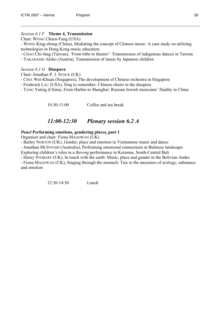#### *Session 6.1 F* **Theme 4, Transmission**

Chair: WONG Chuen-Fung (USA)

- WONG King-chung (China), Mediating the concept of Chinese music: A case study on utilizing technologies in Hong Kong music education

- CHAO Chi-fang (Taiwan), 'From tribe to theatre': Transmission of indigenous dances in Taiwan

- TAKAHASHI Akiko (Austria), Transmission of music by Japanese children

#### *Session 6.1 G* **Diaspora**

Chair: Jonathan P. J. STOCK (UK)

- CHIA Wei-Khuan (Singapore), The development of Chinese orchestra in Singapore
- Frederick LAU (USA), Sing to remember: Chinese choirs in the diaspora
- TANG Yating (China), From Harbin to Shanghai: Russian Jewish musicians' fluidity in China

10:30-11:00 Coffee and tea break

## *11:00-12:30 Plenary session 6.2 A*

#### *Panel* **Performing emotions, gendering places, part 1**

Organiser and chair: Fiona MAGOWAN (UK)

- Barley NORTON (UK), Gender, place and emotion in Vietnamese music and dance

- Jonathan MCINTOSH (Australia), Performing emotional connections in Balinese landscape:

Exploring children's roles in a *Barong* performance in Keramas, South-Central Bali

- Henry STOBART (UK), In touch with the earth: Music, place and gender in the Bolivian Andes

- Fiona MAGOWAN (UK), Singing through the stomach: Ties to the ancestors of ecology, substance and emotion

12:30-14:30 Lunch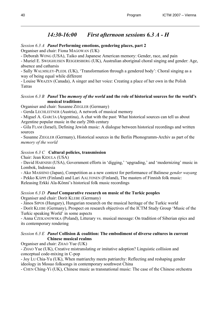## *14:30-16:00 First afternoon sessions 6.3 A - H*

#### *Session 6.3 A Panel* **Performing emotions, gendering places, part 2**

Organiser and chair: Fiona MAGOWAN (UK)

- Deborah WONG (USA), Taiko and Japanese American memory: Gender, race, and pain

- Muriel E. SWIJGHUISEN REIGERSBERG (UK), Australian aboriginal choral singing and gender: Age, absence and catharsis

- Sally WALMSLEY-PLEDL (UK), 'Transformation through a gendered body': Choral singing as a way of being equal while different

- Louise WRAZEN (Canada), A singer and her voice: Creating a place of her own in the Polish Tatras

#### *Session 6.3 B Panel* **The** *memory of the world* **and the role of historical sources for the world's musical traditions**

Organiser and chair: Susanne ZIEGLER (Germany)

- Gerda LECHLEITNER (Austria), A network of musical memory

- Miguel A. GARCÍA (Argentina), A chat with the past: What historical sources can tell us about Argentine popular music in the early 20th century

- Gila FLAM (Israel), Defining Jewish music: A dialogue between historical recordings and written sources

- Susanne ZIEGLER (Germany), Historical sources in the Berlin Phonogramm-Archiv as part of the *memory of the world*

#### *Session 6.3 C* **Cultural policies, transmission**

Chair: Jean KIDULA (USA)

- David HARNISH (USA), Government efforts in 'digging,' 'upgrading,' and 'modernizing' music in Lombok, Indonesia

- Ako MASHINO (Japan), Competition as a new context for performance of Balinese *gender wayang* 

- Pekko KÄPPI (Finland) and Lari AALTONEN (Finland), The masters of Finnish folk music:

Releasing Erkki Ala-Könni's historical folk music recordings

#### *Session 6.3 D Panel* **Comparative research on music of the Turkic peoples**

Organiser and chair: Dorit KLEBE (Germany)

- János SIPOS (Hungary), Hungarian research on the musical heritage of the Turkic world

- Dorit KLEBE (Germany), Prospect on research objectives of the ICTM Study Group 'Music of the Turkic speaking World' in some aspects

- Anna CZEKANOWSKA (Poland), Litterary vs. musical message: On tradition of Siberian epics and its contemporary rendering

#### *Session 6.3 E Panel* **Collision & coalition: The embodiment of diverse cultures in current Chinese musical realms**

Organiser and chair: ZHAO Yue (UK)

- ZHAO Yue (UK), Creative mistranslating or imitative adoption? Linguistic collision and conceptual code-mixing in C-pop

- Joy LU Chia-Yu (UK), When matriarchy meets patriarchy: Reflecting and reshaping gender ideology in Mosuo folksongs in contemporary southwest China

- CHEN Ching-Yi (UK), Chinese music as transnational music: The case of the Chinese orchestra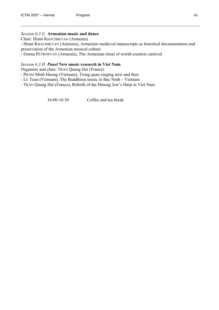#### *Session 6.3 G* **Armenian music and dance**

Chair: Hrant KHACHIKYAN (Armenia)

- Hrant KHACHIKYAN (Armenia), Armenian medieval manuscripts as historical documentation and preservation of the Armenian musical culture

- Emma PETROSYAN (Armenia), The Armenian ritual of world-creation carnival

#### *Session 6.3 H Panel* **New music research in Viet Nam**

Organiser and chair: TRAN Quang Hai (France)

- PHAM Minh Huong (Vietnam), Trong quan singing now and then
- LE Toan (Vietnam), The Buddhism music in Bac Ninh Vietnam
- TRAN Quang Hai (France), Rebirth of the Hmong Jew's Harp in Viet Nam

16:00-16:30 Coffee and tea break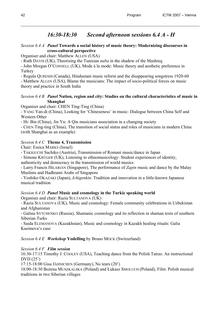## *16:30-18:30 Second afternoon sessions 6.4 A - H*

#### *Session 6.4 A Panel* **Towards a social history of music theory: Modernizing discourses in cross-cultural perspective**

Organiser and chair: Matthew ALLEN (USA)

- Ruth DAVIS (UK), Theorising the Tunisian *nuba* in the shadow of the Mashreq

- John Morgan O'CONNELL (UK), Mode à la mode: Music theory and aesthetic preference in **Turkey** 

- Regula QURESHI (Canada), Hindustani music reform and the disappearing songstress 1920-60

- Matthew ALLEN (USA), Blame the musicians: The impact of socio-political forces on music theory and practice in South India

#### *Session 6.4 B Panel* **Nation, region and city: Studies on the cultural characteristics of music in Shanghai**

Organiser and chair: CHEN Ting-Ting (China)

- YANG Yan-di (China), Looking for 'Chineseness' in music: Dialogue between China Self and Western Other

- HU Bin (China), Jin Yu: A Qin musicians association in a changing society

- CHEN Ting-ting (China), The transition of social status and roles of musicians in modern China (with Shanghai as an example)

#### *Session 6.4 C* **Theme 4, Transmission**

Chair: Essica MARKS (Israel)

- TAKIGUCHI Sachiko (Austria), Transmission of Romani music/dance in Japan

- Simone KRÜGER (UK), Listening to ethnomusicology: Student experiences of identity,

authenticity and democracy in the transmission of world musics

- Larry Francis HILARIAN (Singapore), The performance of *Zapin* music and dance by the Malay Muslims and Hadhrami Arabs of Singapore

- Yoshiko OKAZAKI (Japan), *Ichigenkin*: Tradition and innovation in a little-known Japanese musical tradition

#### *Session 6.4 D Panel* **Music and cosmology in the Turkic speaking world**

Organiser and chair: Razia SULTANOVA (UK)

- Razia SULTANOVA (UK), Music and cosmology: Female community celebrations in Uzbekistan and Afghanistan

- Galina SYTCHENKO (Russia), Shamanic cosmology and its reflection in shaman texts of southern Siberian Turks

- Saida ELEMANOVA (Kazakhstan), Music and cosmology in Kazakh healing rituals: Galia Kasimova's case

*Session 6.4 E Workshop* **Yodelling** by Bruno MOCK (Switzerland)

#### *Session 6.4 F Film session*

16:30-17:15 Timothy J. COOLEY (USA), Teaching dance from the Polish Tatras: An instructional  $DVD(25')$ 

17:15-18:00 Gisa JÄHNICHEN (Germany), No tears (20')

18:00-18:30 Bożena MUSZKALSKA (Poland) and Łukasz SMOLUCH (Poland), Film: Polish musical traditions in two Siberian villages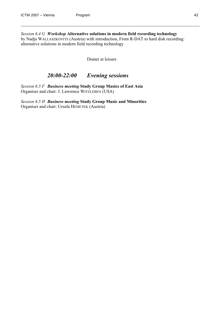*Session 6.4 G Workshop* **Alternative solutions in modern field recording technology** by Nadja WALLASZKOVITS (Austria) with introduction, From R-DAT to hard disk recording: alternative solutions in modern field recording technology

Dinner at leisure

## *20:00-22:00 Evening sessions*

*Session 6.5 F Business meeting* **Study Group Musics of East Asia**  Organiser and chair: J. Lawrence WITZLEBEN (USA)

*Session 6.5 H Business meeting* **Study Group Music and Minorities** Organiser and chair: Ursula HEMETEK (Austria)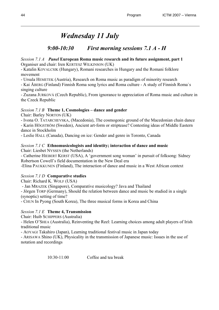## *Wednesday 11 July*

## *9:00-10:30 First morning sessions 7.1 A - H*

#### *Session 7.1 A Panel* **European Roma music research and its future assignment, part 1** Organiser and chair: Iren KERTESZ WILKINSON (UK)

- Katalin KOVALCSIK (Hungary), Romani researches in Hungary and the Romani folklore movement

- Ursula HEMETEK (Austria), Research on Roma music as paradigm of minority research

- Kai ÅBERG (Finland) Finnish Roma song lyrics and Roma culture - A study of Finnish Roma`s singing culture

- Zuzana JURKOVÁ (Czech Republic), From ignorance to appreciation of Roma music and culture in the Czeck Republic

### *Session 7.1 B* **Theme 1, Cosmologies – dance and gender**

Chair: Barley NORTON (UK)

- Ivona O. TATARCHEVSKA, (Macedonia), The cosmogonic ground of the Macedonian chain dance

- Karin HÖGSTRÖM (Sweden), Ancient art-form or striptease? Contesting ideas of Middle Eastern dance in Stockholm

- Leslie HALL (Canada), Dancing on ice: Gender and genre in Toronto, Canada

### *Session 7.1 C* **Ethnomusicologists and identity; interaction of dance and music**

Chair: Liesbet NYSSEN (the Netherlands)

- Catherine HIEBERT KERST (USA), A 'government song woman' in pursuit of folksong: Sidney Robertson Cowell's field documentation in the New Deal era

-Elina PAUKKUNEN (Finland), The interaction of dance and music in a West African context

### *Session 7.1 D* **Comparative studies**

Chair: Richard K. WOLF (USA)

- Jan MRAZEK (Singapore), Comparative musicology? Java and Thailand

- Jörgen TORP (Germany), Should the relation between dance and music be studied in a single (synoptic) setting of time?

- CHUN In Pyong (South Korea), The three musical forms in Korea and China

#### *Session 7.1 E* **Theme 4, Transmission**

Chair: Huib SCHIPPERS (Australia)

- Helen O'SHEA (Australia), Reinventing the Reel: Learning choices among adult players of Irish traditional music

- AOYAGI Takahiro (Japan), Learning traditional festival music in Japan today

- ARISAWA Shino (UK), Physicality in the transmission of Japanese music: Issues in the use of notation and recordings

10:30-11:00 Coffee and tea break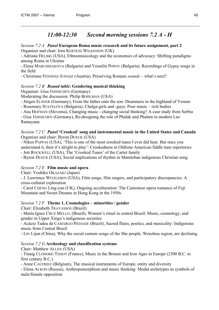## *11:00-12:30 Second morning sessions 7.2 A - H*

#### *Session 7.2 A Panel* **European Roma music research and its future assignment, part 2** Organiser and chair: Iren KERTESZ WILKINSON (UK)

- Adriana HELBIG (USA), Ethnomusicology and the economics of advocacy: Shifting paradigms among Roma in Ukraine

- Elena MARUSHIAKOVA (Bulgaria) and Vesselin POPOV (Bulgaria), Recordings of Gypsy songs in the field

- Christiane FENNESZ-JUHASZ (Austria), Preserving Romani *sounds* – what's next?

#### *Session 7.2 B Round table***: Gendering musical thinking**

Organiser: Gisa JÄHNICHEN (Germany)

Moderating the discussion: Philip BOHLMAN (USA)

- Jürgen ELSNER (Germany), From the father onto the son: Drummers in the highland of Yemen

- Rosemary STATELOVA (Bulgaria), Chalga-girls and -guys: Poor music – rich bodies

- Ana HOFMAN (Slovenia), Changing music - changing social thinking? A case study from Serbia

- Gisa JÄHNICHEN (Germany), Re-designing the role of Phalak and Phalam in modern Lao Ramayana

*Session 7.2 C Panel* **'Crooked' song and instrumental music in the United States and Canada**  Organiser and chair: Byron DUECK (USA)

- Nikos PAPPAS (USA), 'This is one of the most crooked tunes I ever did hear. But once you understand it, then it's alright to play': Crookedness in Oldtime American fiddle tune repertories - Joti ROCKWELL (USA), The 'Crooked Tunes' of the Carter family

- Byron DUECK (USA), Social implications of rhythm in Manitoban indigenous Christian song

#### *Session 7.2 E* **Film music and opera**

Chair: Yoshiko OKAZAKI (Japan)

- J. Lawrence WITZLEBEN (USA), Film songs, film singers, and participatory discrepancies: A cross-cultural exploration

- Carol CHENG Ling-yan (UK), Ongoing acculturation: The Cantonese opera romance of Fuji Mountain and Sweet Dreams in Hong Kong in the 1950s

#### *Session 7.2 F* **Theme 1, Cosmologies – minorities / gender**

Chair: Elizabeth TRAVASSOS (Brazil)

- Maria Ignez CRUZ MELLO, (Brazil), Women's ritual in central Brazil: Music, cosmology, and gender in Upper Xingu's indigenous societies

- Acácio Tadeu de CAMARGO PIEDADE (Brazil), Sacred flutes, poetics, and musicality: Indigenous music from Central Brazil

- LIN Lijun (China), Why the social custom songs of the She people, Wenzhou region, are declining

#### *Session 7.2 G* **Archeology and classification systems**

Chair: Matthew ALLEN (USA)

- Tinaig CLODORÉ-TISSOT (France), Music in the Bronze and Iron Ages in Europe (2300 B.C. to first century B.C.)

- Anne CAUFRIEZ (Belgium), The musical instruments of Europe, entity and diversity

- Elena ALKON (Russia), Anthropomorphism and music thinking: Modal archetypes as symbols of male/female opposition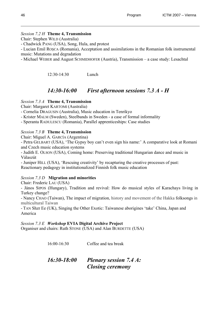#### *Session 7.2 H* **Theme 4, Transmission**

Chair: Stephen WILD (Australia)

- Chadwick PANG (USA), Song, Hula, and protest

- Lucian Emil ROŞCA (Romania), Acceptation and assimilations in the Romanian folk instrumental music: Mutations and degradation

- Michael WEBER and August SCHMIDHOFER (Austria), Transmission – a case study: Lesachtal

12:30-14:30 Lunch

## *14:30-16:00 First afternoon sessions 7.3 A - H*

#### *Session 7.3 A* **Theme 4, Transmission**

Chair: Margaret KARTOMI (Australia)

- Cornelia DRAGUSIN (Australia), Music education in Tenrikyo

- Krister MALM (Sweden), Steelbands in Sweden a case of formal informality
- Speranta RADULESCU (Romania), Parallel apprenticeships: Case studies

#### *Session 7.3 B* **Theme 4, Transmission**

Chair: Miguel A. GARCÍA (Argentina)

- Petra GELBART (USA), 'The Gypsy boy can't even sign his name:' A comparative look at Romani and Czech music education systems

- Judith E. OLSON (USA), Coming home: Preserving traditional Hungarian dance and music in Válaszút

- Juniper HILL (USA), 'Rescuing creativity' by recapturing the creative processes of past: Reactionary pedagogy in institutionalized Finnish folk music education

#### *Session 7.3 D* **Migration and minorities**

Chair: Frederic LAU (USA)

- János SIPOS (Hungary), Tradition and revival: How do musical styles of Karachays living in Turkey change?

- Nancy CHAO (Taiwan), The impact of migration, history and movement of the Hakka folksongs in multicultural Taiwan

- TAN Shzr Ee (UK), Singing the Other Exotic: Taiwanese aborigines 'take' China, Japan and America

*Session 7.3 E Workshop* **EVIA Digital Archive Project** 

Organiser and chairs: Ruth STONE (USA) and Alan BURDETTE (USA)

16:00-16:30 Coffee and tea break *16:30-18:00 Plenary session 7.4 A: Closing ceremony*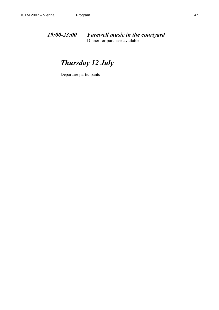*19:00-23:00 Farewell music in the courtyard*  Dinner for purchase available

## *Thursday 12 July*

Departure participants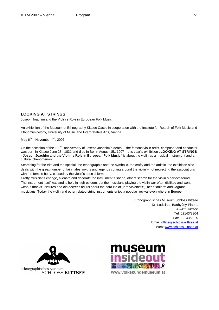#### **LOOKING AT STRINGS**

Joseph Joachim and the Violin´s Role in European Folk Music

An exhibition of the Museum of Ethnography Kittsee Castle in cooperation with the Institute for Rearch of Folk Music and Ethnomusicology, University of Music and Interpretative Arts, Vienna.

May  $6^{th}$  – November  $4^{th}$ , 2007

On the occasion of the 100<sup>th</sup> anniversary of Joseph Joachim's death  $-$  the famous violin artist, composer and conductor was born in Kittsee June 28., 1831 and died in Berlin August 15., 1907 – this year's exhibition "LOOKING AT STRINGS **- Joseph Joachim and the Violin´s Role in European Folk Music"** is about the violin as a musical instrument and a cultural phenomenon.

Searching for the trite and the special, the ethnographic and the symbolic, the crafty and the artistic, the exhibition also deals with the great number of fairy tales, myths and legends curling around the violin – not neglecting the associations with the female body, caused by the violin's special form.

Crafty musicians change, alienate and decorate the instrument´s shape, others search for the violin´s perfect sound. The instrument itself was and is held in high esteem, but the musicians playing the violin wer often disliked and went without thanks. Pictures and old decrees tell us about the hard life of "lard violonists", "beer fiddlers" and vagrant musicians. Today the violin and other related string instruments enjoy a popular revival everywhere in Europe.

> Ethnographisches Museum Schloss Kittsee Dr. Ladislaus Batthyány-Platz 1 A-2421 Kittsee Tel. 02143/2304 Fax: 02143/2025 Email: [office@schloss-kittsee.at](mailto:office@schloss-kittsee.at) Web: [www.schloss-kittsee.at](http://www.schloss-kittsee.at/)